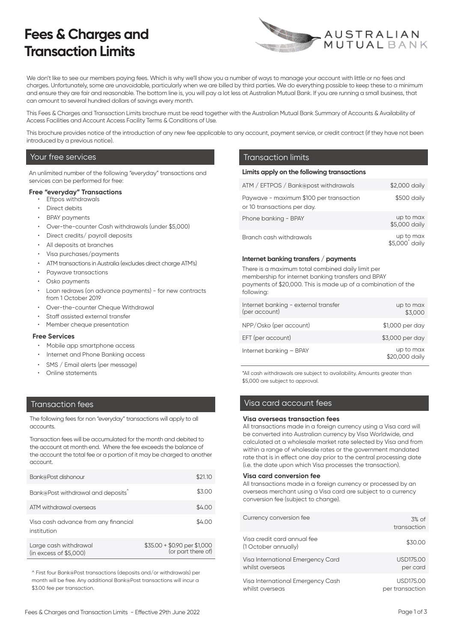# **Fees & Charges and Transaction Limits**



We don't like to see our members paying fees. Which is why we'll show you a number of ways to manage your account with little or no fees and charges. Unfortunately, some are unavoidable, particularly when we are billed by third parties. We do everything possible to keep these to a minimum and ensure they are fair and reasonable. The bottom line is, you will pay a lot less at Australian Mutual Bank. If you are running a small business, that can amount to several hundred dollars of savings every month.

This Fees & Charges and Transaction Limits brochure must be read together with the Australian Mutual Bank Summary of Accounts & Availability of Access Facilities and Account Access Facility Terms & Conditions of Use.

This brochure provides notice of the introduction of any new fee applicable to any account, payment service, or credit contract (if they have not been introduced by a previous notice).

# Your free services

An unlimited number of the following "everyday" transactions and services can be performed for free:

#### **Free "everyday" Transactions**

- Eftpos withdrawals
- Direct debits
- **BPAY** payments
- Over-the-counter Cash withdrawals (under \$5,000)
- Direct credits/ payroll deposits
- All deposits at branches
- Visa purchases/payments
- ATM transactions in Australia (excludes direct charge ATM's)
- Paywave transactions
- Osko payments
- Loan redraws (on advance payments) for new contracts from 1 October 2019
- Over-the-counter Cheque Withdrawal
- Staff assisted external transfer
- Member cheque presentation

#### **Free Services**

- Mobile app smartphone access
- Internet and Phone Banking access
- SMS / Email alerts (per message)
- Online statements

#### Transaction fees

The following fees for non "everyday" transactions will apply to all accounts.

Transaction fees will be accumulated for the month and debited to the account at month end. Where the fee exceeds the balance of the account the total fee or a portion of it may be charged to another account.

| Bank@Post dishonour                                 | \$21.10                                            |
|-----------------------------------------------------|----------------------------------------------------|
| Bank@Post withdrawal and deposits                   | \$3.00                                             |
| ATM withdrawal overseas                             | \$4.00                                             |
| Visa cash advance from any financial<br>institution | \$4.00                                             |
| Large cash withdrawal<br>(in excess of \$5,000)     | \$35.00 + \$0.90 per \$1,000<br>(or part there of) |

^ First four Bank@Post transactions (deposits and/or withdrawals) per month will be free. Any additional Bank@Post transactions will incur a \$3.00 fee per transaction.

## Transaction limits

#### **Limits apply on the following transactions**

| ATM / EFTPOS / Bank@post withdrawals                                   | \$2,000 daily                           |
|------------------------------------------------------------------------|-----------------------------------------|
| Paywave - maximum \$100 per transaction<br>or 10 transactions per day. | \$500 daily                             |
| Phone banking - BPAY                                                   | up to max<br>\$5,000 daily              |
| Branch cash withdrawals                                                | up to max<br>\$5,000 <sup>*</sup> daily |

#### **Internet banking transfers / payments**

There is a maximum total combined daily limit per membership for internet banking transfers and BPAY payments of \$20,000. This is made up of a combination of the following:

| Internet banking - external transfer<br>(per account) | up to max<br>\$3,000        |
|-------------------------------------------------------|-----------------------------|
| NPP/Osko (per account)                                | \$1,000 per day             |
| EFT (per account)                                     | \$3,000 per day             |
| Internet banking - BPAY                               | up to max<br>\$20,000 daily |

\*All cash withdrawals are subject to availability. Amounts greater than \$5,000 are subject to approval.

## Visa card account fees

#### **Visa overseas transaction fees**

All transactions made in a foreign currency using a Visa card will be converted into Australian currency by Visa Worldwide, and calculated at a wholesale market rate selected by Visa and from within a range of wholesale rates or the government mandated rate that is in effect one day prior to the central processing date (i.e. the date upon which Visa processes the transaction).

#### **Visa card conversion fee**

All transactions made in a foreign currency or processed by an overseas merchant using a Visa card are subject to a currency conversion fee (subject to change).

| Currency conversion fee                             | $3%$ of<br>transaction |
|-----------------------------------------------------|------------------------|
| Visa credit card annual fee<br>(1 October annually) | \$30.00                |
| Visa International Emergency Card                   | <b>USD175.00</b>       |
| whilst overseas                                     | per card               |
| Visa International Emergency Cash                   | USD175.00              |
| whilst overseas                                     | per transaction        |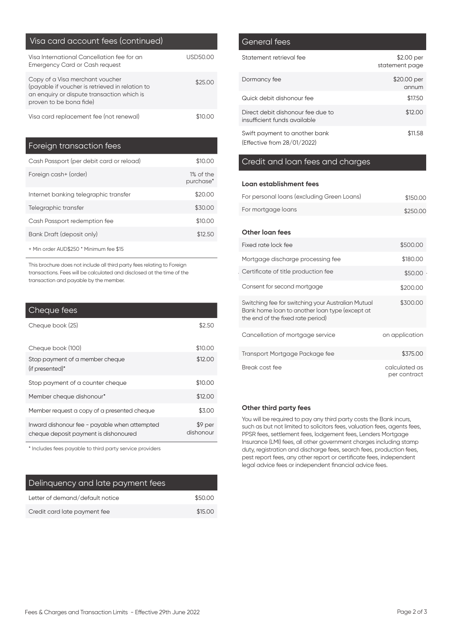| Visa card account fees (continued)                                                                                                                          |          |
|-------------------------------------------------------------------------------------------------------------------------------------------------------------|----------|
| Visa International Cancellation fee for an<br><b>Emergency Card or Cash request</b>                                                                         | USD50.00 |
| Copy of a Visa merchant voucher<br>(payable if voucher is retrieved in relation to<br>an enquiry or dispute transaction which is<br>proven to be bona fide) | \$25.00  |
| Visa card replacement fee (not renewal)                                                                                                                     |          |

| Foreign transaction fees                 |                        |
|------------------------------------------|------------------------|
| Cash Passport (per debit card or reload) | \$10.00                |
| Foreign cash+ (order)                    | 1% of the<br>purchase* |
| Internet banking telegraphic transfer    | \$20.00                |
| Telegraphic transfer                     | \$30.00                |
| Cash Passport redemption fee             | \$10.00                |
| Bank Draft (deposit only)                | \$12.50                |
| + Min order AUD\$250 * Minimum fee \$15  |                        |

This brochure does not include all third party fees relating to Foreign transactions. Fees will be calculated and disclosed at the time of the transaction and payable by the member.

| Cheque fees                                                                            |                      |
|----------------------------------------------------------------------------------------|----------------------|
| Cheque book (25)                                                                       | \$2.50               |
| Cheque book (100)                                                                      | \$10.00              |
| Stop payment of a member cheque<br>(if presented)*                                     | \$12.00              |
| Stop payment of a counter cheque                                                       | \$10.00              |
| Member cheque dishonour*                                                               | \$12.00              |
| Member request a copy of a presented cheque                                            | \$3.00               |
| Inward dishonour fee - payable when attempted<br>cheque deposit payment is dishonoured | \$9 per<br>dishonour |

\* Includes fees payable to third party service providers

| Delinquency and late payment fees |         |
|-----------------------------------|---------|
| Letter of demand/default notice   | \$50.00 |
| Credit card late payment fee      | \$15.00 |

# General fees

| Statement retrieval fee                                           | \$2.00 per<br>statement page |
|-------------------------------------------------------------------|------------------------------|
| Dormancy fee                                                      | \$20.00 per<br>annum         |
| Quick debit dishonour fee                                         | \$17.50                      |
| Direct debit dishonour fee due to<br>insufficient funds available | \$12.00                      |
| Swift payment to another bank<br>(Effective from 28/01/2022)      | \$11.58                      |

# Credit and loan fees and charges

## **Loan establishment fees**

| For personal loans (excluding Green Loans)                                                                                                | \$150.00                      |
|-------------------------------------------------------------------------------------------------------------------------------------------|-------------------------------|
| For mortgage loans                                                                                                                        | \$250.00                      |
|                                                                                                                                           |                               |
| Other loan fees                                                                                                                           |                               |
| Fixed rate lock fee                                                                                                                       | \$500.00                      |
| Mortgage discharge processing fee                                                                                                         | \$180.00                      |
| Certificate of title production fee                                                                                                       | \$50.00                       |
| Consent for second mortgage                                                                                                               | \$200.00                      |
| Switching fee for switching your Australian Mutual<br>Bank home loan to another loan type (except at<br>the end of the fixed rate period) | \$300.00                      |
| Cancellation of mortgage service                                                                                                          | on application                |
| Transport Mortgage Package fee                                                                                                            | \$375.00                      |
| Break cost fee                                                                                                                            | calculated as<br>per contract |

#### **Other third party fees**

You will be required to pay any third party costs the Bank incurs, such as but not limited to solicitors fees, valuation fees, agents fees, PPSR fees, settlement fees, lodgement fees, Lenders Mortgage Insurance (LMI) fees, all other government charges including stamp duty, registration and discharge fees, search fees, production fees, pest report fees, any other report or certificate fees, independent legal advice fees or independent financial advice fees.